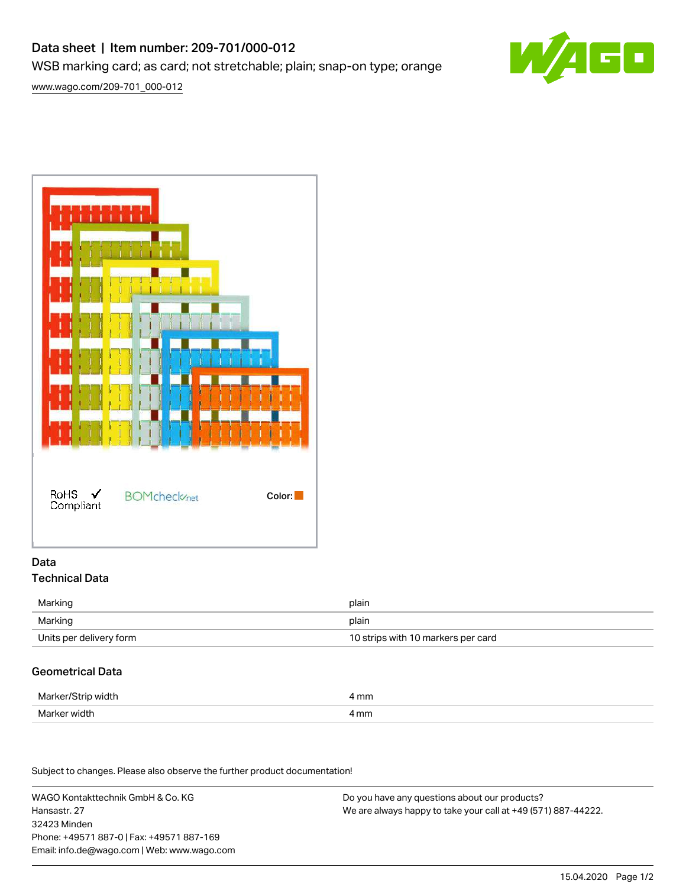# Data sheet | Item number: 209-701/000-012 WSB marking card; as card; not stretchable; plain; snap-on type; orange



[www.wago.com/209-701\\_000-012](http://www.wago.com/209-701_000-012)



### Data Technical Data

| Marking                 | plain                              |
|-------------------------|------------------------------------|
| Marking                 | plain                              |
| Units per delivery form | 10 strips with 10 markers per card |

### Geometrical Data

| Marker/Strip width | mm   |
|--------------------|------|
| Marker width       | 4 mm |

Subject to changes. Please also observe the further product documentation!

WAGO Kontakttechnik GmbH & Co. KG Hansastr. 27 32423 Minden Phone: +49571 887-0 | Fax: +49571 887-169 Email: info.de@wago.com | Web: www.wago.com

Do you have any questions about our products? We are always happy to take your call at +49 (571) 887-44222.